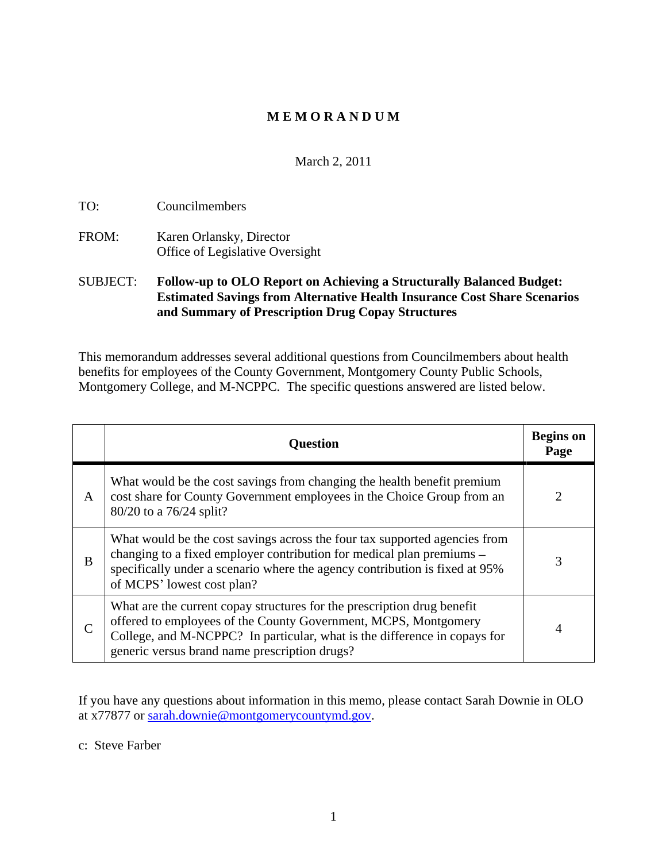## **M E M O R A N D U M**

### March 2, 2011

TO: Councilmembers

FROM: Karen Orlansky, Director Office of Legislative Oversight

### SUBJECT: **Follow-up to OLO Report on Achieving a Structurally Balanced Budget: Estimated Savings from Alternative Health Insurance Cost Share Scenarios and Summary of Prescription Drug Copay Structures**

This memorandum addresses several additional questions from Councilmembers about health benefits for employees of the County Government, Montgomery County Public Schools, Montgomery College, and M-NCPPC. The specific questions answered are listed below.

| Question                                                                                                                                                                                                                                                                 | <b>Begins</b> on<br>Page |
|--------------------------------------------------------------------------------------------------------------------------------------------------------------------------------------------------------------------------------------------------------------------------|--------------------------|
| What would be the cost savings from changing the health benefit premium<br>$\log$ cost share for County Government employees in the Choice Group from an<br>$\vert$ 80/20 to a 76/24 split?                                                                              |                          |
| What would be the cost savings across the four tax supported agencies from<br>, changing to a fixed employer contribution for medical plan premiums $-$<br>specifically under a scenario where the agency contribution is fixed at 95%<br>of MCPS' lowest cost plan?     |                          |
| What are the current copay structures for the prescription drug benefit<br>offered to employees of the County Government, MCPS, Montgomery<br>College, and M-NCPPC? In particular, what is the difference in copays for<br>generic versus brand name prescription drugs? |                          |

If you have any questions about information in this memo, please contact Sarah Downie in OLO at x77877 or sarah.downie@montgomerycountymd.gov.

c: Steve Farber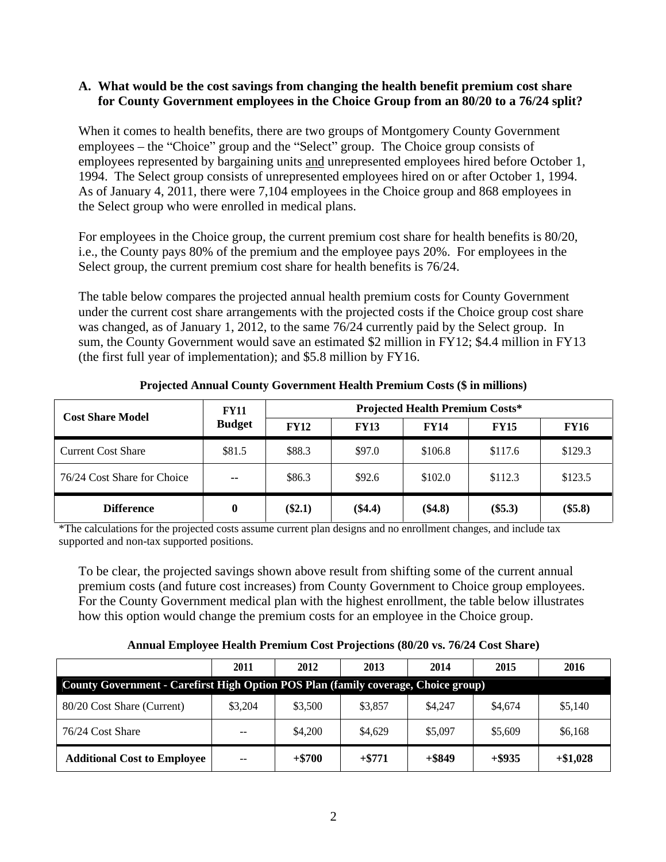#### **A. What would be the cost savings from changing the health benefit premium cost share for County Government employees in the Choice Group from an 80/20 to a 76/24 split?**

When it comes to health benefits, there are two groups of Montgomery County Government employees  $-$  the "Choice" group and the "Select" group. The Choice group consists of employees represented by bargaining units and unrepresented employees hired before October 1, 1994. The Select group consists of unrepresented employees hired on or after October 1, 1994. As of January 4, 2011, there were 7,104 employees in the Choice group and 868 employees in the Select group who were enrolled in medical plans.

For employees in the Choice group, the current premium cost share for health benefits is 80/20, i.e., the County pays 80% of the premium and the employee pays 20%. For employees in the Select group, the current premium cost share for health benefits is 76/24.

The table below compares the projected annual health premium costs for County Government under the current cost share arrangements with the projected costs if the Choice group cost share was changed, as of January 1, 2012, to the same 76/24 currently paid by the Select group. In sum, the County Government would save an estimated \$2 million in FY12; \$4.4 million in FY13 (the first full year of implementation); and \$5.8 million by FY16.

| <b>Cost Share Model</b>     | <b>FY11</b>   | <b>Projected Health Premium Costs*</b> |             |             |             |             |  |  |
|-----------------------------|---------------|----------------------------------------|-------------|-------------|-------------|-------------|--|--|
|                             | <b>Budget</b> | <b>FY12</b>                            | <b>FY13</b> | <b>FY14</b> | <b>FY15</b> | <b>FY16</b> |  |  |
| <b>Current Cost Share</b>   | \$81.5        | \$88.3                                 | \$97.0      | \$106.8     | \$117.6     | \$129.3     |  |  |
| 76/24 Cost Share for Choice | ---           | \$86.3                                 | \$92.6      | \$102.0     | \$112.3     | \$123.5     |  |  |
| <b>Difference</b>           |               | (\$2.1)                                | (\$4.4)     | (\$4.8)     | $(\$5.3)$   | $(\$5.8)$   |  |  |

**Projected Annual County Government Health Premium Costs (\$ in millions)**

\*The calculations for the projected costs assume current plan designs and no enrollment changes, and include tax supported and non-tax supported positions.

To be clear, the projected savings shown above result from shifting some of the current annual premium costs (and future cost increases) from County Government to Choice group employees. For the County Government medical plan with the highest enrollment, the table below illustrates how this option would change the premium costs for an employee in the Choice group.

#### **Annual Employee Health Premium Cost Projections (80/20 vs. 76/24 Cost Share)**

|                                                                                    | 2011    | 2012     | 2013     | 2014      | 2015      | 2016       |
|------------------------------------------------------------------------------------|---------|----------|----------|-----------|-----------|------------|
| County Government - Carefirst High Option POS Plan (family coverage, Choice group) |         |          |          |           |           |            |
| 80/20 Cost Share (Current)                                                         | \$3,204 | \$3,500  | \$3,857  | \$4,247   | \$4,674   | \$5,140    |
| 76/24 Cost Share                                                                   | $- -$   | \$4,200  | \$4,629  | \$5,097   | \$5,609   | \$6,168    |
| <b>Additional Cost to Employee</b>                                                 | ——      | $+ $700$ | $+ $771$ | $+$ \$849 | $+$ \$935 | $+\$1,028$ |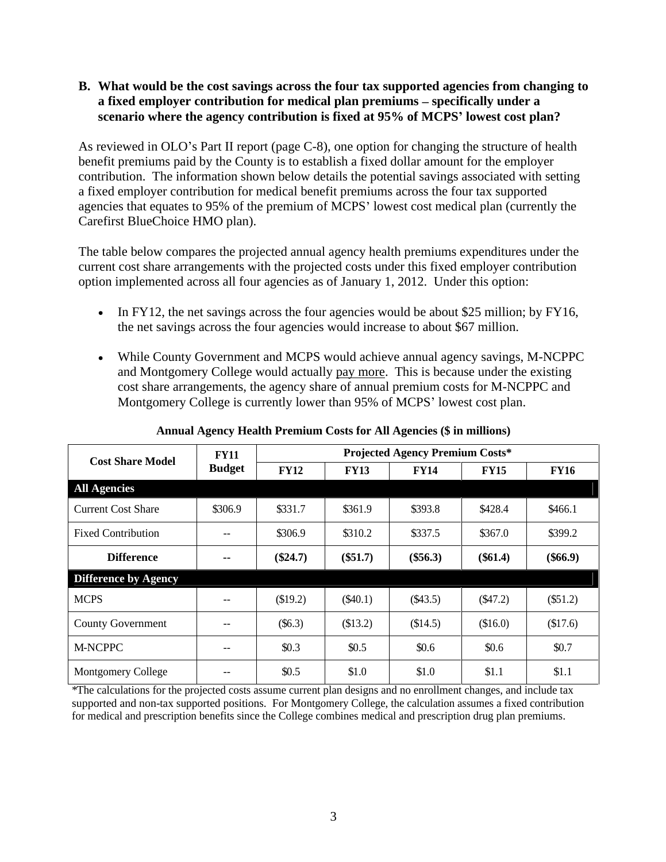### **B. What would be the cost savings across the four tax supported agencies from changing to**  a fixed employer contribution for medical plan premiums – specifically under a **scenario where the agency contribution is fixed at 95% of MCPS lowest cost plan?**

As reviewed in OLO's Part II report (page C-8), one option for changing the structure of health benefit premiums paid by the County is to establish a fixed dollar amount for the employer contribution. The information shown below details the potential savings associated with setting a fixed employer contribution for medical benefit premiums across the four tax supported agencies that equates to 95% of the premium of MCPS lowest cost medical plan (currently the Carefirst BlueChoice HMO plan).

The table below compares the projected annual agency health premiums expenditures under the current cost share arrangements with the projected costs under this fixed employer contribution option implemented across all four agencies as of January 1, 2012. Under this option:

- In FY12, the net savings across the four agencies would be about \$25 million; by FY16, the net savings across the four agencies would increase to about \$67 million.
- While County Government and MCPS would achieve annual agency savings, M-NCPPC and Montgomery College would actually pay more. This is because under the existing cost share arrangements, the agency share of annual premium costs for M-NCPPC and Montgomery College is currently lower than 95% of MCPS' lowest cost plan.

| <b>Cost Share Model</b>   | <b>FY11</b>   |             |             | <b>Projected Agency Premium Costs*</b> |             |             |
|---------------------------|---------------|-------------|-------------|----------------------------------------|-------------|-------------|
|                           | <b>Budget</b> | <b>FY12</b> | <b>FY13</b> | <b>FY14</b>                            | <b>FY15</b> | <b>FY16</b> |
| <b>All Agencies</b>       |               |             |             |                                        |             |             |
| <b>Current Cost Share</b> | \$306.9       | \$331.7     | \$361.9     | \$393.8                                | \$428.4     | \$466.1     |
| <b>Fixed Contribution</b> | $ -$          | \$306.9     | \$310.2     | \$337.5                                | \$367.0     | \$399.2     |
| <b>Difference</b>         | $\sim$ $\sim$ | $(\$24.7)$  | $(\$51.7)$  | $(\$56.3)$                             | $(\$61.4)$  | $(\$66.9)$  |
| Difference by Agency      |               |             |             |                                        |             |             |
| <b>MCPS</b>               | $- -$         | \$19.2)     | (\$40.1)    | $(*43.5)$                              | $(*47.2)$   | (\$51.2)    |
| County Government         | $ -$          | (\$6.3)     | \$13.2)     | \$14.5)                                | (\$16.0)    | \$17.6)     |
| M-NCPPC                   | $- -$         | \$0.3       | \$0.5       | \$0.6                                  | \$0.6       | \$0.7       |
| Montgomery College        | $ -$          | \$0.5       | \$1.0       | \$1.0                                  | \$1.1       | \$1.1       |

**Annual Agency Health Premium Costs for All Agencies (\$ in millions)**

\*The calculations for the projected costs assume current plan designs and no enrollment changes, and include tax supported and non-tax supported positions. For Montgomery College, the calculation assumes a fixed contribution for medical and prescription benefits since the College combines medical and prescription drug plan premiums.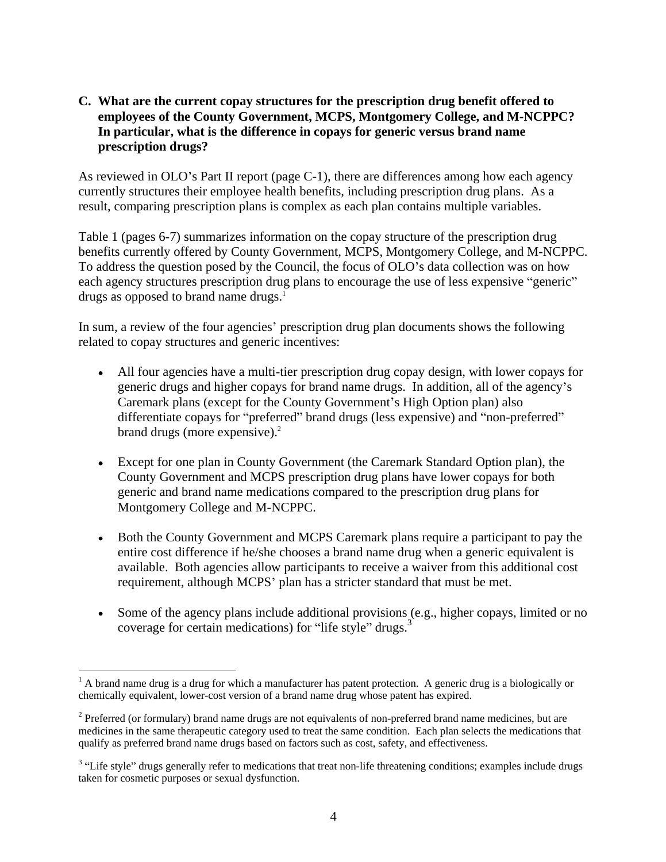# **C. What are the current copay structures for the prescription drug benefit offered to employees of the County Government, MCPS, Montgomery College, and M-NCPPC? In particular, what is the difference in copays for generic versus brand name prescription drugs?**

As reviewed in OLO's Part II report (page C-1), there are differences among how each agency currently structures their employee health benefits, including prescription drug plans. As a result, comparing prescription plans is complex as each plan contains multiple variables.

Table 1 (pages 6-7) summarizes information on the copay structure of the prescription drug benefits currently offered by County Government, MCPS, Montgomery College, and M-NCPPC. To address the question posed by the Council, the focus of OLO's data collection was on how each agency structures prescription drug plans to encourage the use of less expensive "generic" drugs as opposed to brand name drugs.<sup>1</sup>

In sum, a review of the four agencies' prescription drug plan documents shows the following related to copay structures and generic incentives:

- All four agencies have a multi-tier prescription drug copay design, with lower copays for generic drugs and higher copays for brand name drugs. In addition, all of the agency's Caremark plans (except for the County Government's High Option plan) also differentiate copays for "preferred" brand drugs (less expensive) and "non-preferred" brand drugs (more expensive).<sup>2</sup>
- Except for one plan in County Government (the Caremark Standard Option plan), the County Government and MCPS prescription drug plans have lower copays for both generic and brand name medications compared to the prescription drug plans for Montgomery College and M-NCPPC.
- Both the County Government and MCPS Caremark plans require a participant to pay the  $\bullet$ entire cost difference if he/she chooses a brand name drug when a generic equivalent is available. Both agencies allow participants to receive a waiver from this additional cost requirement, although MCPS' plan has a stricter standard that must be met.
- Some of the agency plans include additional provisions (e.g., higher copays, limited or no coverage for certain medications) for "life style" drugs. $3$

<sup>&</sup>lt;sup>1</sup> A brand name drug is a drug for which a manufacturer has patent protection. A generic drug is a biologically or chemically equivalent, lower-cost version of a brand name drug whose patent has expired.

 $2$  Preferred (or formulary) brand name drugs are not equivalents of non-preferred brand name medicines, but are medicines in the same therapeutic category used to treat the same condition. Each plan selects the medications that qualify as preferred brand name drugs based on factors such as cost, safety, and effectiveness.

<sup>&</sup>lt;sup>3</sup> "Life style" drugs generally refer to medications that treat non-life threatening conditions; examples include drugs taken for cosmetic purposes or sexual dysfunction.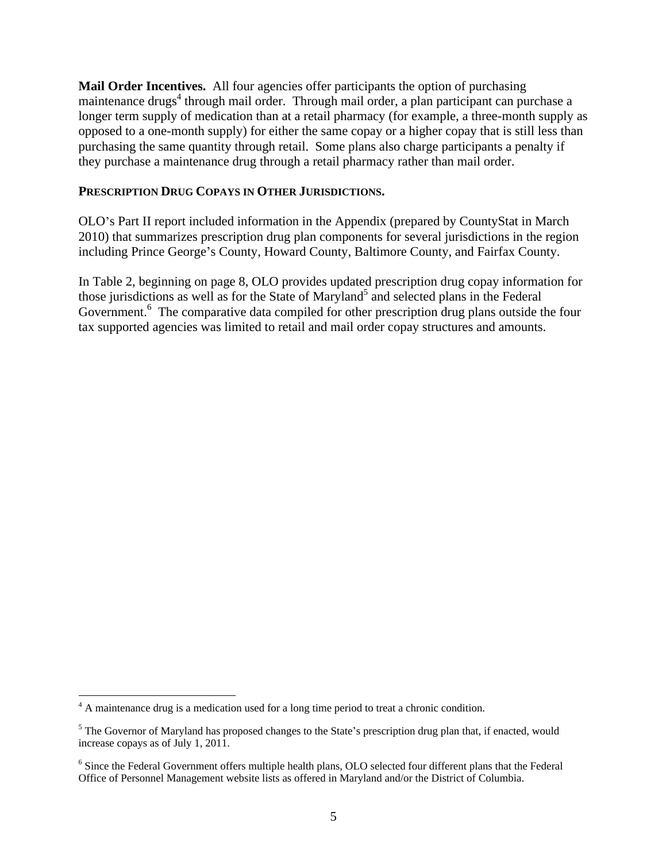**Mail Order Incentives.** All four agencies offer participants the option of purchasing maintenance drugs<sup>4</sup> through mail order. Through mail order, a plan participant can purchase a longer term supply of medication than at a retail pharmacy (for example, a three-month supply as opposed to a one-month supply) for either the same copay or a higher copay that is still less than purchasing the same quantity through retail. Some plans also charge participants a penalty if they purchase a maintenance drug through a retail pharmacy rather than mail order.

### **PRESCRIPTION DRUG COPAYS IN OTHER JURISDICTIONS.**

OLO s Part II report included information in the Appendix (prepared by CountyStat in March 2010) that summarizes prescription drug plan components for several jurisdictions in the region including Prince George's County, Howard County, Baltimore County, and Fairfax County.

In Table 2, beginning on page 8, OLO provides updated prescription drug copay information for those jurisdictions as well as for the State of Maryland<sup>5</sup> and selected plans in the Federal Government.<sup>6</sup> The comparative data compiled for other prescription drug plans outside the four tax supported agencies was limited to retail and mail order copay structures and amounts.

<sup>&</sup>lt;sup>4</sup> A maintenance drug is a medication used for a long time period to treat a chronic condition.<br><sup>5</sup> The Governor of Maryland has proposed changes to the State's prescription drug plan that, if enacted, would increase copays as of July 1, 2011.

<sup>&</sup>lt;sup>6</sup> Since the Federal Government offers multiple health plans, OLO selected four different plans that the Federal Office of Personnel Management website lists as offered in Maryland and/or the District of Columbia.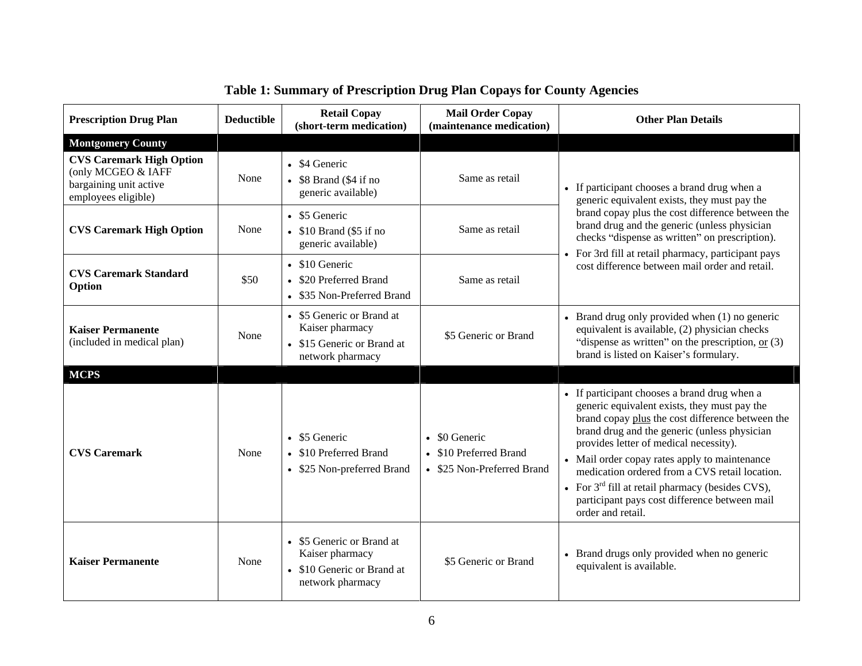| <b>Prescription Drug Plan</b>                                                                          | <b>Deductible</b> | <b>Retail Copay</b><br>(short-term medication)                                                 | <b>Mail Order Copay</b><br>(maintenance medication)                   | <b>Other Plan Details</b>                                                                                                                                                                                                                                                                                                                                                                                                                                                 |
|--------------------------------------------------------------------------------------------------------|-------------------|------------------------------------------------------------------------------------------------|-----------------------------------------------------------------------|---------------------------------------------------------------------------------------------------------------------------------------------------------------------------------------------------------------------------------------------------------------------------------------------------------------------------------------------------------------------------------------------------------------------------------------------------------------------------|
| <b>Montgomery County</b>                                                                               |                   |                                                                                                |                                                                       |                                                                                                                                                                                                                                                                                                                                                                                                                                                                           |
| <b>CVS Caremark High Option</b><br>(only MCGEO & IAFF<br>bargaining unit active<br>employees eligible) | None              | $\bullet$ \$4 Generic<br>$\bullet$ \$8 Brand (\$4 if no<br>generic available)                  | Same as retail                                                        | • If participant chooses a brand drug when a<br>generic equivalent exists, they must pay the                                                                                                                                                                                                                                                                                                                                                                              |
| <b>CVS Caremark High Option</b>                                                                        | None              | • \$5 Generic<br>$\bullet$ \$10 Brand (\$5 if no<br>generic available)                         | Same as retail                                                        | brand copay plus the cost difference between the<br>brand drug and the generic (unless physician<br>checks "dispense as written" on prescription).<br>For 3rd fill at retail pharmacy, participant pays                                                                                                                                                                                                                                                                   |
| <b>CVS Caremark Standard</b><br>Option                                                                 | \$50              | • \$10 Generic<br>• \$20 Preferred Brand<br>• \$35 Non-Preferred Brand                         | Same as retail                                                        | cost difference between mail order and retail.                                                                                                                                                                                                                                                                                                                                                                                                                            |
| <b>Kaiser Permanente</b><br>(included in medical plan)                                                 | None              | • \$5 Generic or Brand at<br>Kaiser pharmacy<br>• \$15 Generic or Brand at<br>network pharmacy | \$5 Generic or Brand                                                  | • Brand drug only provided when (1) no generic<br>equivalent is available, (2) physician checks<br>"dispense as written" on the prescription, $or$ (3)<br>brand is listed on Kaiser's formulary.                                                                                                                                                                                                                                                                          |
| <b>MCPS</b>                                                                                            |                   |                                                                                                |                                                                       |                                                                                                                                                                                                                                                                                                                                                                                                                                                                           |
| <b>CVS Caremark</b>                                                                                    | None              | $\bullet$ \$5 Generic<br>• \$10 Preferred Brand<br>• \$25 Non-preferred Brand                  | • \$0 Generic<br>• \$10 Preferred Brand<br>• \$25 Non-Preferred Brand | • If participant chooses a brand drug when a<br>generic equivalent exists, they must pay the<br>brand copay plus the cost difference between the<br>brand drug and the generic (unless physician<br>provides letter of medical necessity).<br>• Mail order copay rates apply to maintenance<br>medication ordered from a CVS retail location.<br>• For $3rd$ fill at retail pharmacy (besides CVS),<br>participant pays cost difference between mail<br>order and retail. |
| <b>Kaiser Permanente</b>                                                                               | None              | • \$5 Generic or Brand at<br>Kaiser pharmacy<br>• \$10 Generic or Brand at<br>network pharmacy | \$5 Generic or Brand                                                  | • Brand drugs only provided when no generic<br>equivalent is available.                                                                                                                                                                                                                                                                                                                                                                                                   |

# **Table 1: Summary of Prescription Drug Plan Copays for County Agencies**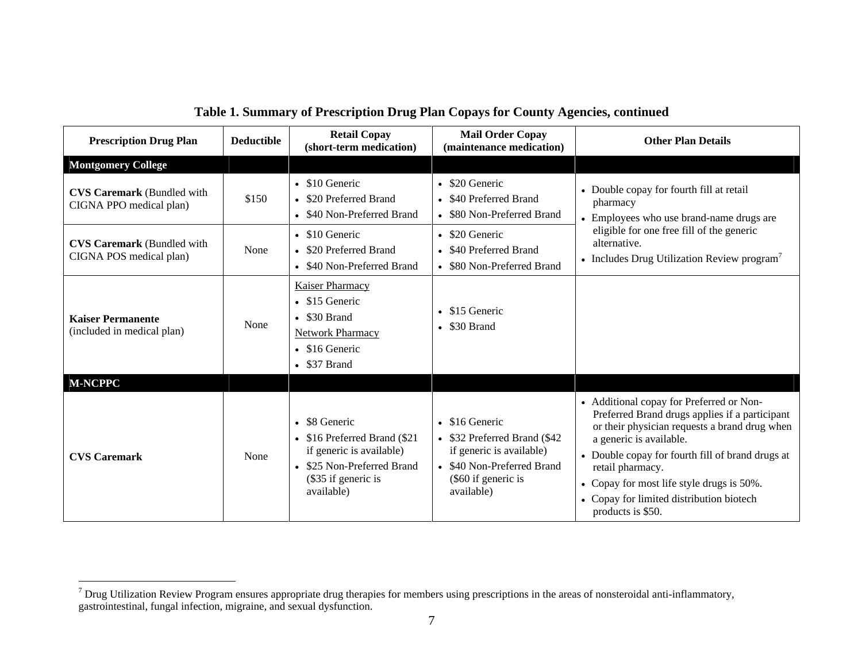| <b>Prescription Drug Plan</b>                                | <b>Deductible</b> | <b>Retail Copay</b><br>(short-term medication)                                                                                                        | <b>Mail Order Copay</b><br>(maintenance medication)                                                                                               | <b>Other Plan Details</b>                                                                                                                                                                                                                                                                                                                                    |
|--------------------------------------------------------------|-------------------|-------------------------------------------------------------------------------------------------------------------------------------------------------|---------------------------------------------------------------------------------------------------------------------------------------------------|--------------------------------------------------------------------------------------------------------------------------------------------------------------------------------------------------------------------------------------------------------------------------------------------------------------------------------------------------------------|
| <b>Montgomery College</b>                                    |                   |                                                                                                                                                       |                                                                                                                                                   |                                                                                                                                                                                                                                                                                                                                                              |
| <b>CVS Caremark</b> (Bundled with<br>CIGNA PPO medical plan) | \$150             | $\bullet$ \$10 Generic<br>• \$20 Preferred Brand<br>• \$40 Non-Preferred Brand                                                                        | • \$20 Generic<br>• \$40 Preferred Brand<br>\$80 Non-Preferred Brand                                                                              | • Double copay for fourth fill at retail<br>pharmacy<br>• Employees who use brand-name drugs are                                                                                                                                                                                                                                                             |
| <b>CVS Caremark (Bundled with</b><br>CIGNA POS medical plan) | None              | $\bullet$ \$10 Generic<br>• \$20 Preferred Brand<br>• \$40 Non-Preferred Brand                                                                        | • \$20 Generic<br>• \$40 Preferred Brand<br>\$80 Non-Preferred Brand                                                                              | eligible for one free fill of the generic<br>alternative.<br>• Includes Drug Utilization Review program <sup>7</sup>                                                                                                                                                                                                                                         |
| <b>Kaiser Permanente</b><br>(included in medical plan)       | None              | <b>Kaiser Pharmacy</b><br>$\bullet$ \$15 Generic<br>$\bullet$ \$30 Brand<br><b>Network Pharmacy</b><br>$\bullet$ \$16 Generic<br>$\bullet$ \$37 Brand | $\bullet$ \$15 Generic<br>$\bullet$ \$30 Brand                                                                                                    |                                                                                                                                                                                                                                                                                                                                                              |
| <b>M-NCPPC</b>                                               |                   |                                                                                                                                                       |                                                                                                                                                   |                                                                                                                                                                                                                                                                                                                                                              |
| <b>CVS Caremark</b>                                          | None              | • \$8 Generic<br>• \$16 Preferred Brand (\$21<br>if generic is available)<br>• \$25 Non-Preferred Brand<br>$\$35$ if generic is<br>available)         | $\bullet$ \$16 Generic<br>\$32 Preferred Brand (\$42<br>if generic is available)<br>\$40 Non-Preferred Brand<br>(\$60 if generic is<br>available) | • Additional copay for Preferred or Non-<br>Preferred Brand drugs applies if a participant<br>or their physician requests a brand drug when<br>a generic is available.<br>• Double copay for fourth fill of brand drugs at<br>retail pharmacy.<br>• Copay for most life style drugs is 50%.<br>• Copay for limited distribution biotech<br>products is \$50. |

### **Table 1. Summary of Prescription Drug Plan Copays for County Agencies, continued**

<sup>&</sup>lt;sup>7</sup> Drug Utilization Review Program ensures appropriate drug therapies for members using prescriptions in the areas of nonsteroidal anti-inflammatory, gastrointestinal, fungal infection, migraine, and sexual dysfunction.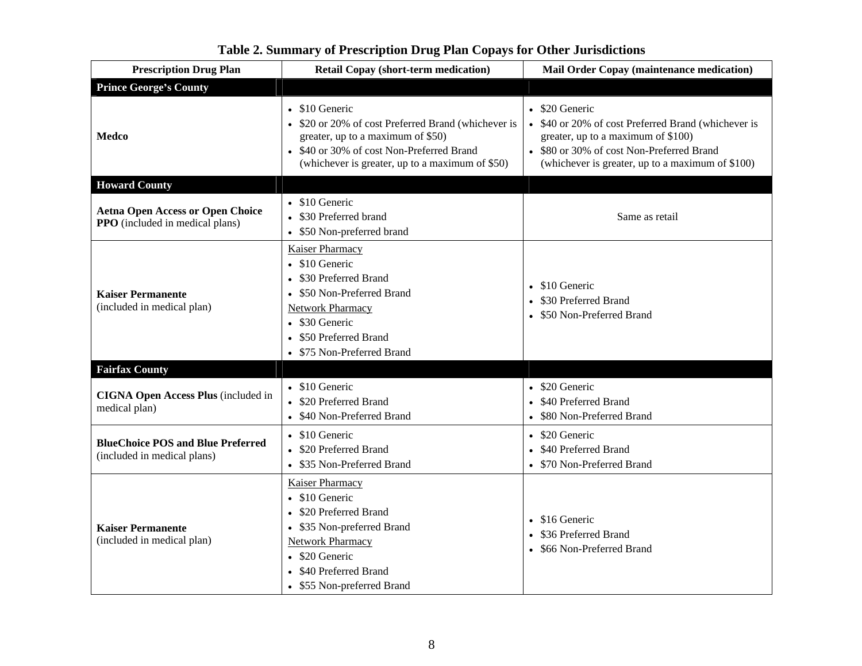| <b>Prescription Drug Plan</b>                                                     | <b>Retail Copay (short-term medication)</b>                                                                                                                                                                   | <b>Mail Order Copay (maintenance medication)</b>                                                                                                                                                                                                                              |
|-----------------------------------------------------------------------------------|---------------------------------------------------------------------------------------------------------------------------------------------------------------------------------------------------------------|-------------------------------------------------------------------------------------------------------------------------------------------------------------------------------------------------------------------------------------------------------------------------------|
| <b>Prince George's County</b>                                                     |                                                                                                                                                                                                               |                                                                                                                                                                                                                                                                               |
| Medco                                                                             | $\bullet$ \$10 Generic<br>greater, up to a maximum of \$50)<br>• \$40 or 30% of cost Non-Preferred Brand<br>(whichever is greater, up to a maximum of \$50)                                                   | $\bullet$ \$20 Generic<br>• \$20 or 20% of cost Preferred Brand (whichever is $\sim$ \$40 or 20% of cost Preferred Brand (whichever is<br>greater, up to a maximum of \$100)<br>• \$80 or 30% of cost Non-Preferred Brand<br>(whichever is greater, up to a maximum of \$100) |
| <b>Howard County</b>                                                              |                                                                                                                                                                                                               |                                                                                                                                                                                                                                                                               |
| <b>Aetna Open Access or Open Choice</b><br><b>PPO</b> (included in medical plans) | • \$10 Generic<br>• \$30 Preferred brand<br>• \$50 Non-preferred brand                                                                                                                                        | Same as retail                                                                                                                                                                                                                                                                |
| <b>Kaiser Permanente</b><br>(included in medical plan)                            | <b>Kaiser Pharmacy</b><br>$\bullet$ \$10 Generic<br>• \$30 Preferred Brand<br>• \$50 Non-Preferred Brand<br><b>Network Pharmacy</b><br>• \$30 Generic<br>• \$50 Preferred Brand<br>• \$75 Non-Preferred Brand | $\bullet$ \$10 Generic<br>• \$30 Preferred Brand<br>• \$50 Non-Preferred Brand                                                                                                                                                                                                |
| <b>Fairfax County</b>                                                             |                                                                                                                                                                                                               |                                                                                                                                                                                                                                                                               |
| CIGNA Open Access Plus (included in<br>medical plan)                              | • \$10 Generic<br>• \$20 Preferred Brand<br>• \$40 Non-Preferred Brand                                                                                                                                        | $\bullet$ \$20 Generic<br>• \$40 Preferred Brand<br>• \$80 Non-Preferred Brand                                                                                                                                                                                                |
| <b>BlueChoice POS and Blue Preferred</b><br>(included in medical plans)           | • \$10 Generic<br>• \$20 Preferred Brand<br>• \$35 Non-Preferred Brand                                                                                                                                        | • \$20 Generic<br>• \$40 Preferred Brand<br>• \$70 Non-Preferred Brand                                                                                                                                                                                                        |
| <b>Kaiser Permanente</b><br>(included in medical plan)                            | <b>Kaiser Pharmacy</b><br>$\bullet$ \$10 Generic<br>• \$20 Preferred Brand<br>• \$35 Non-preferred Brand<br><b>Network Pharmacy</b><br>• \$20 Generic<br>• \$40 Preferred Brand<br>• \$55 Non-preferred Brand | $\bullet$ \$16 Generic<br>• \$36 Preferred Brand<br>• \$66 Non-Preferred Brand                                                                                                                                                                                                |

# **Table 2. Summary of Prescription Drug Plan Copays for Other Jurisdictions**